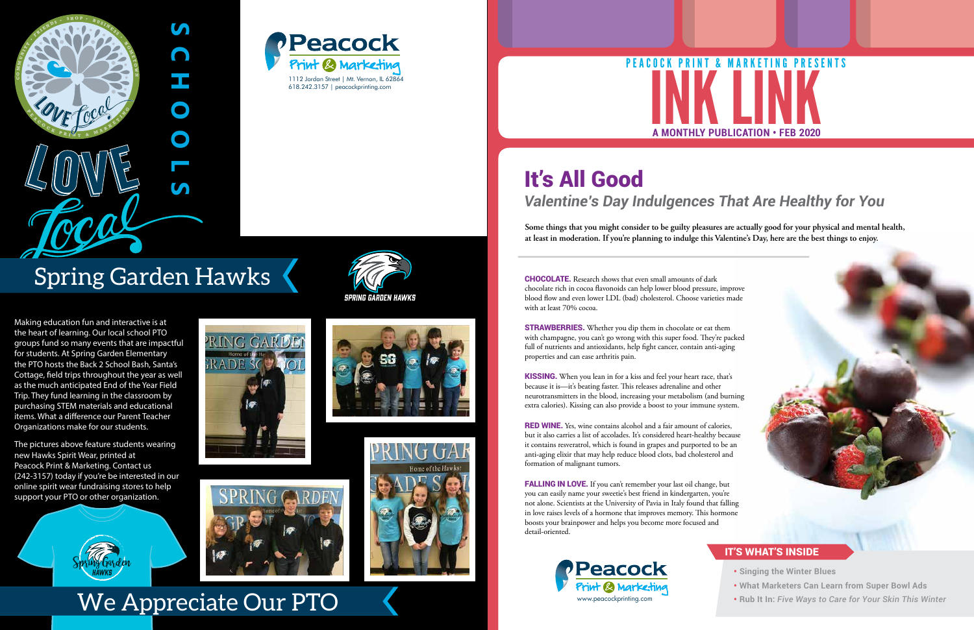# It's All Good *Valentine's Day Indulgences That Are Healthy for You*

- **• Singing the Winter Blues**
- **• What Marketers Can Learn from Super Bowl Ads**
- **• Rub It In:** *Five Ways to Care for Your Skin This Winter*

## IT'S WHAT'S INSIDE

**Some things that you might consider to be guilty pleasures are actually good for your physical and mental health, at least in moderation. If you're planning to indulge this Valentine's Day, here are the best things to enjoy.**

**STRAWBERRIES.** Whether you dip them in chocolate or eat them with champagne, you can't go wrong with this super food. They're packed full of nutrients and antioxidants, help fight cancer, contain anti-aging properties and can ease arthritis pain.

CHOCOLATE. Research shows that even small amounts of dark chocolate rich in cocoa flavonoids can help lower blood pressure, improve blood flow and even lower LDL (bad) cholesterol. Choose varieties made with at least 70% cocoa.





KISSING. When you lean in for a kiss and feel your heart race, that's because it is—it's beating faster. This releases adrenaline and other neurotransmitters in the blood, increasing your metabolism (and burning extra calories). Kissing can also provide a boost to your immune system.

RED WINE. Yes, wine contains alcohol and a fair amount of calories, but it also carries a list of accolades. It's considered heart-healthy because it contains resveratrol, which is found in grapes and purported to be an anti-aging elixir that may help reduce blood clots, bad cholesterol and formation of malignant tumors.

FALLING IN LOVE. If you can't remember your last oil change, but you can easily name your sweetie's best friend in kindergarten, you're not alone. Scientists at the University of Pavia in Italy found that falling in love raises levels of a hormone that improves memory. This hormone boosts your brainpower and helps you become more focused and detail-oriented.





PRING GARDE

FRADE

Making education fun and interactive is at the heart of learning. Our local school PTO groups fund so many events that are impactful for students. At Spring Garden Elementary the PTO hosts the Back 2 School Bash, Santa's Cottage, field trips throughout the year as well as the much anticipated End of the Year Field Trip. They fund learning in the classroom by purchasing STEM materials and educational items. What a difference our Parent Teacher Organizations make for our students.

The pictures above feature students wearing new Hawks Spirit Wear, printed at Peacock Print & Marketing. Contact us (242-3157) today if you're be interested in our online spirit wear fundraising stores to help support your PTO or other organization.